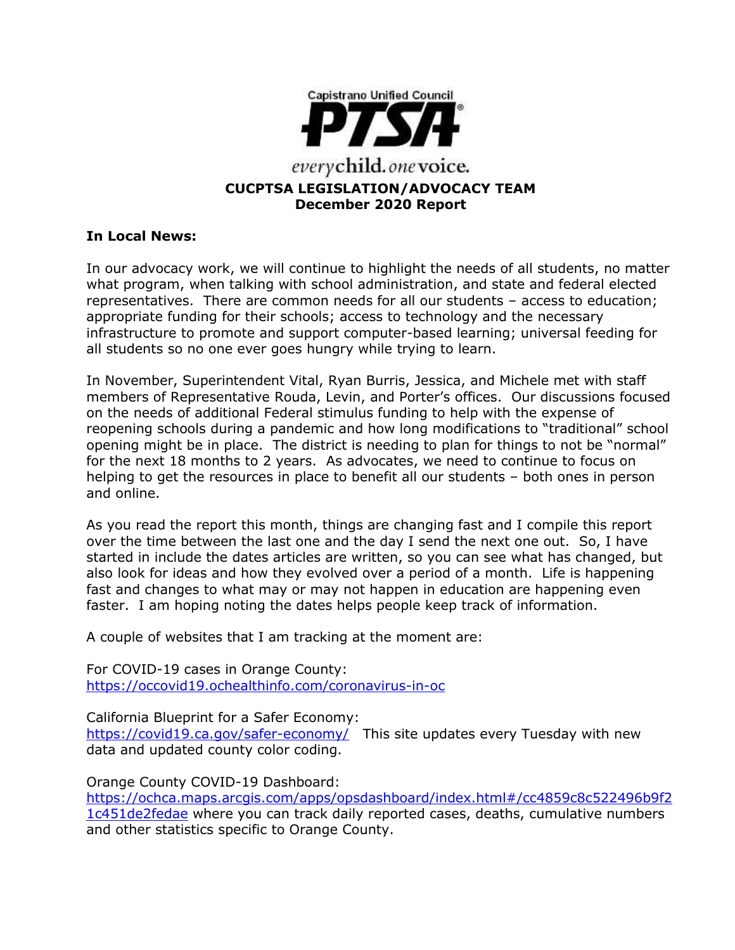

#### **In Local News:**

In our advocacy work, we will continue to highlight the needs of all students, no matter what program, when talking with school administration, and state and federal elected representatives. There are common needs for all our students – access to education; appropriate funding for their schools; access to technology and the necessary infrastructure to promote and support computer-based learning; universal feeding for all students so no one ever goes hungry while trying to learn.

In November, Superintendent Vital, Ryan Burris, Jessica, and Michele met with staff members of Representative Rouda, Levin, and Porter's offices. Our discussions focused on the needs of additional Federal stimulus funding to help with the expense of reopening schools during a pandemic and how long modifications to "traditional" school opening might be in place. The district is needing to plan for things to not be "normal" for the next 18 months to 2 years. As advocates, we need to continue to focus on helping to get the resources in place to benefit all our students – both ones in person and online.

As you read the report this month, things are changing fast and I compile this report over the time between the last one and the day I send the next one out. So, I have started in include the dates articles are written, so you can see what has changed, but also look for ideas and how they evolved over a period of a month. Life is happening fast and changes to what may or may not happen in education are happening even faster. I am hoping noting the dates helps people keep track of information.

A couple of websites that I am tracking at the moment are:

For COVID-19 cases in Orange County: <https://occovid19.ochealthinfo.com/coronavirus-in-oc>

California Blueprint for a Safer Economy:

<https://covid19.ca.gov/safer-economy/>This site updates every Tuesday with new data and updated county color coding.

Orange County COVID-19 Dashboard:

[https://ochca.maps.arcgis.com/apps/opsdashboard/index.html#/cc4859c8c522496b9f2](https://ochca.maps.arcgis.com/apps/opsdashboard/index.html#/cc4859c8c522496b9f21c451de2fedae) [1c451de2fedae](https://ochca.maps.arcgis.com/apps/opsdashboard/index.html#/cc4859c8c522496b9f21c451de2fedae) where you can track daily reported cases, deaths, cumulative numbers and other statistics specific to Orange County.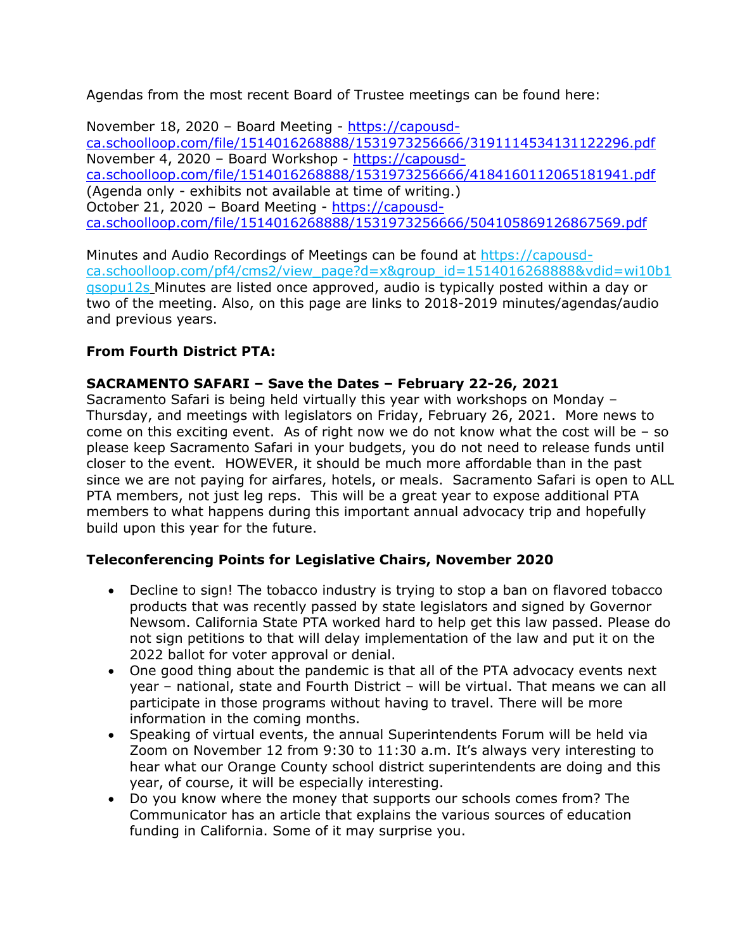Agendas from the most recent Board of Trustee meetings can be found here:

November 18, 2020 – Board Meeting - [https://capousd](https://capousd-ca.schoolloop.com/file/1514016268888/1531973256666/3191114534131122296.pdf)[ca.schoolloop.com/file/1514016268888/1531973256666/3191114534131122296.pdf](https://capousd-ca.schoolloop.com/file/1514016268888/1531973256666/3191114534131122296.pdf) November 4, 2020 – Board Workshop - [https://capousd](https://capousd-ca.schoolloop.com/file/1514016268888/1531973256666/4184160112065181941.pdf)[ca.schoolloop.com/file/1514016268888/1531973256666/4184160112065181941.pdf](https://capousd-ca.schoolloop.com/file/1514016268888/1531973256666/4184160112065181941.pdf) (Agenda only - exhibits not available at time of writing.) October 21, 2020 – Board Meeting - [https://capousd](https://capousd-ca.schoolloop.com/file/1514016268888/1531973256666/504105869126867569.pdf)[ca.schoolloop.com/file/1514016268888/1531973256666/504105869126867569.pdf](https://capousd-ca.schoolloop.com/file/1514016268888/1531973256666/504105869126867569.pdf)

Minutes and Audio Recordings of Meetings can be found at [https://capousd](https://capousd-ca.schoolloop.com/pf4/cms2/view_page?d=x&group_id=1514016268888&vdid=wi10b1qsopu12s)[ca.schoolloop.com/pf4/cms2/view\\_page?d=x&group\\_id=1514016268888&vdid=wi10b1](https://capousd-ca.schoolloop.com/pf4/cms2/view_page?d=x&group_id=1514016268888&vdid=wi10b1qsopu12s) [qsopu12s](https://capousd-ca.schoolloop.com/pf4/cms2/view_page?d=x&group_id=1514016268888&vdid=wi10b1qsopu12s) Minutes are listed once approved, audio is typically posted within a day or two of the meeting. Also, on this page are links to 2018-2019 minutes/agendas/audio and previous years.

## **From Fourth District PTA:**

### **SACRAMENTO SAFARI – Save the Dates – February 22-26, 2021**

Sacramento Safari is being held virtually this year with workshops on Monday – Thursday, and meetings with legislators on Friday, February 26, 2021. More news to come on this exciting event. As of right now we do not know what the cost will be  $-$  so please keep Sacramento Safari in your budgets, you do not need to release funds until closer to the event. HOWEVER, it should be much more affordable than in the past since we are not paying for airfares, hotels, or meals. Sacramento Safari is open to ALL PTA members, not just leg reps. This will be a great year to expose additional PTA members to what happens during this important annual advocacy trip and hopefully build upon this year for the future.

#### **Teleconferencing Points for Legislative Chairs, November 2020**

- Decline to sign! The tobacco industry is trying to stop a ban on flavored tobacco products that was recently passed by state legislators and signed by Governor Newsom. California State PTA worked hard to help get this law passed. Please do not sign petitions to that will delay implementation of the law and put it on the 2022 ballot for voter approval or denial.
- One good thing about the pandemic is that all of the PTA advocacy events next year – national, state and Fourth District – will be virtual. That means we can all participate in those programs without having to travel. There will be more information in the coming months.
- Speaking of virtual events, the annual Superintendents Forum will be held via Zoom on November 12 from 9:30 to 11:30 a.m. It's always very interesting to hear what our Orange County school district superintendents are doing and this year, of course, it will be especially interesting.
- Do you know where the money that supports our schools comes from? The Communicator has an article that explains the various sources of education funding in California. Some of it may surprise you.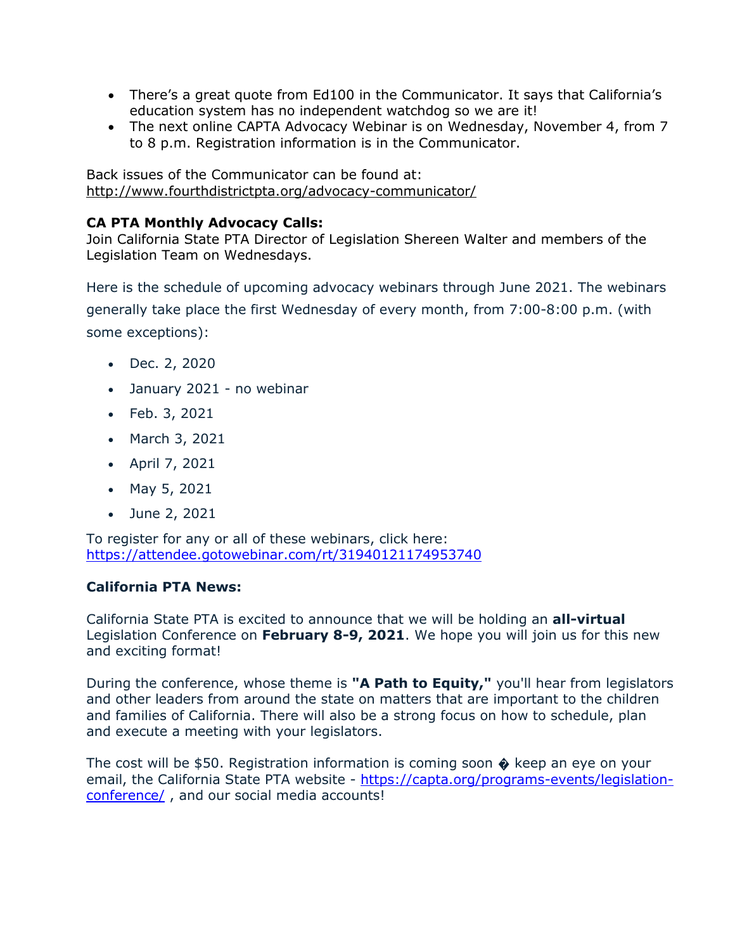- There's a great quote from Ed100 in the Communicator. It says that California's education system has no independent watchdog so we are it!
- The next online CAPTA Advocacy Webinar is on Wednesday, November 4, from 7 to 8 p.m. Registration information is in the Communicator.

Back issues of the Communicator can be found at: <http://www.fourthdistrictpta.org/advocacy-communicator/>

### **CA PTA Monthly Advocacy Calls:**

Join California State PTA Director of Legislation Shereen Walter and members of the Legislation Team on Wednesdays.

Here is the schedule of upcoming advocacy webinars through June 2021. The webinars generally take place the first Wednesday of every month, from 7:00-8:00 p.m. (with some exceptions):

- Dec. 2, 2020
- January 2021 no webinar
- Feb. 3, 2021
- March 3, 2021
- April 7, 2021
- May 5, 2021
- June 2, 2021

To register for any or all of these webinars, click here: [https://attendee.gotowebinar.com/rt/31940121174953740](http://capta.bmetrack.com/c/l?u=AB6FF6E&e=10CEA9F&c=4592C&t=0&l=2971D61A&email=TepeYfBsuqqthho6K9B9EXzBjzlZ2TJR&seq=1)

## **California PTA News:**

California State PTA is excited to announce that we will be holding an **all-virtual** Legislation Conference on **February 8-9, 2021**. We hope you will join us for this new and exciting format!

During the conference, whose theme is **"A Path to Equity,"** you'll hear from legislators and other leaders from around the state on matters that are important to the children and families of California. There will also be a strong focus on how to schedule, plan and execute a meeting with your legislators.

The cost will be \$50. Registration information is coming soon  $\hat{\bullet}$  keep an eye on your email, the California State PTA website - [https://capta.org/programs-events/legislation](https://capta.org/programs-events/legislation-conference/)[conference/](https://capta.org/programs-events/legislation-conference/) , and our social media accounts!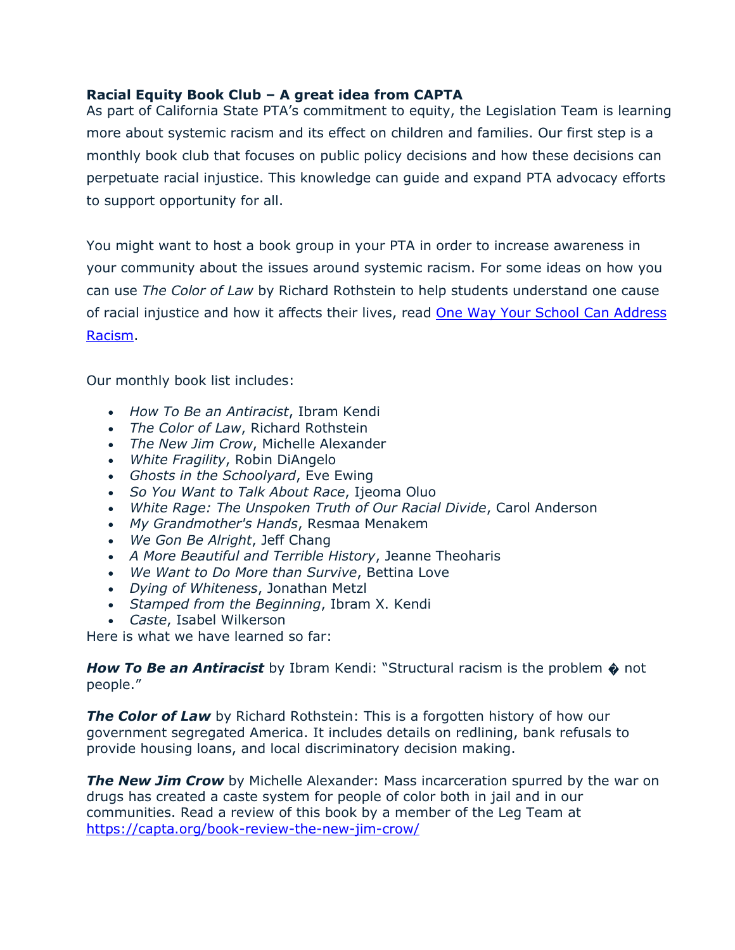### **Racial Equity Book Club – A great idea from CAPTA**

As part of California State PTA's commitment to equity, the Legislation Team is learning more about systemic racism and its effect on children and families. Our first step is a monthly book club that focuses on public policy decisions and how these decisions can perpetuate racial injustice. This knowledge can guide and expand PTA advocacy efforts to support opportunity for all.

You might want to host a book group in your PTA in order to increase awareness in your community about the issues around systemic racism. For some ideas on how you can use *The Color of Law* by Richard Rothstein to help students understand one cause of racial injustice and how it affects their lives, read [One Way Your School Can Address](http://capta.bmetrack.com/c/l?u=B5BBC97&e=1173565&c=4592C&t=0&l=2A62EAD6&email=TepeYfBsuqqthho6K9B9EXzBjzlZ2TJR&seq=1)  [Racism.](http://capta.bmetrack.com/c/l?u=B5BBC97&e=1173565&c=4592C&t=0&l=2A62EAD6&email=TepeYfBsuqqthho6K9B9EXzBjzlZ2TJR&seq=1)

Our monthly book list includes:

- *How To Be an Antiracist*, Ibram Kendi
- *The Color of Law*, Richard Rothstein
- *The New Jim Crow*, Michelle Alexander
- *White Fragility*, Robin DiAngelo
- *Ghosts in the Schoolyard*, Eve Ewing
- *So You Want to Talk About Race*, Ijeoma Oluo
- *White Rage: The Unspoken Truth of Our Racial Divide*, Carol Anderson
- *My Grandmother's Hands*, Resmaa Menakem
- *We Gon Be Alright*, Jeff Chang
- *A More Beautiful and Terrible History*, Jeanne Theoharis
- *We Want to Do More than Survive*, Bettina Love
- *Dying of Whiteness*, Jonathan Metzl
- *Stamped from the Beginning*, Ibram X. Kendi
- *Caste*, Isabel Wilkerson

Here is what we have learned so far:

**How To Be an Antiracist** by Ibram Kendi: "Structural racism is the problem  $\phi$  not people."

**The Color of Law** by Richard Rothstein: This is a forgotten history of how our government segregated America. It includes details on redlining, bank refusals to provide housing loans, and local discriminatory decision making.

**The New Jim Crow** by Michelle Alexander: Mass incarceration spurred by the war on drugs has created a caste system for people of color both in jail and in our communities. Read a review of this book by a member of the Leg Team at <https://capta.org/book-review-the-new-jim-crow/>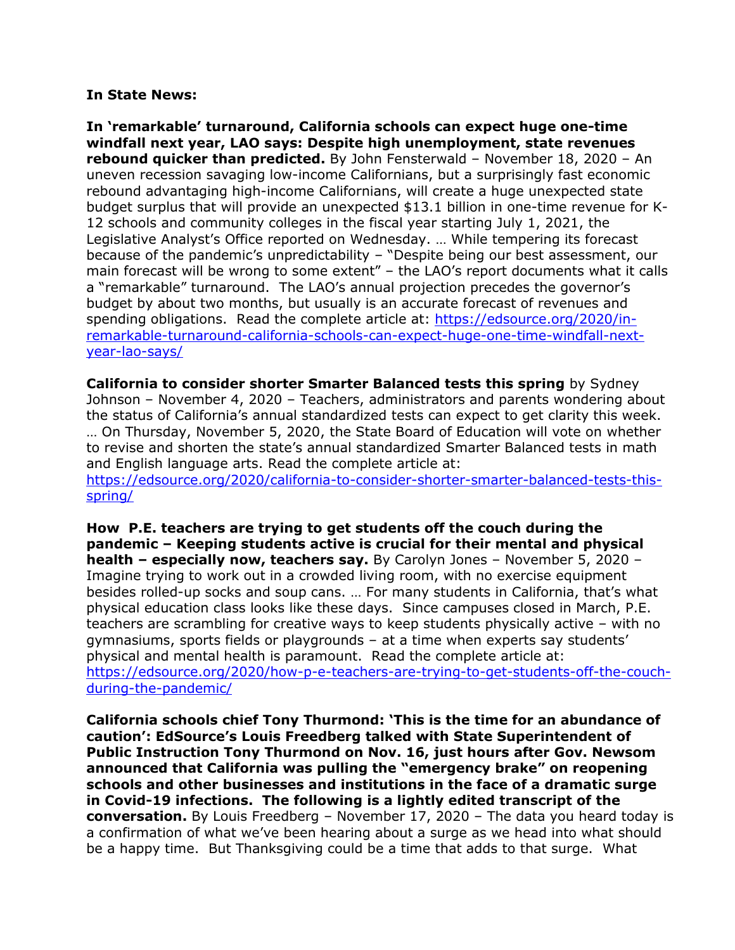#### **In State News:**

**In 'remarkable' turnaround, California schools can expect huge one-time windfall next year, LAO says: Despite high unemployment, state revenues rebound quicker than predicted.** By John Fensterwald – November 18, 2020 – An uneven recession savaging low-income Californians, but a surprisingly fast economic rebound advantaging high-income Californians, will create a huge unexpected state budget surplus that will provide an unexpected \$13.1 billion in one-time revenue for K-12 schools and community colleges in the fiscal year starting July 1, 2021, the Legislative Analyst's Office reported on Wednesday. … While tempering its forecast because of the pandemic's unpredictability – "Despite being our best assessment, our main forecast will be wrong to some extent" – the LAO's report documents what it calls a "remarkable" turnaround. The LAO's annual projection precedes the governor's budget by about two months, but usually is an accurate forecast of revenues and spending obligations. Read the complete article at: [https://edsource.org/2020/in](https://edsource.org/2020/in-remarkable-turnaround-california-schools-can-expect-huge-one-time-windfall-next-year-lao-says/)[remarkable-turnaround-california-schools-can-expect-huge-one-time-windfall-next](https://edsource.org/2020/in-remarkable-turnaround-california-schools-can-expect-huge-one-time-windfall-next-year-lao-says/)[year-lao-says/](https://edsource.org/2020/in-remarkable-turnaround-california-schools-can-expect-huge-one-time-windfall-next-year-lao-says/)

**California to consider shorter Smarter Balanced tests this spring** by Sydney Johnson – November 4, 2020 – Teachers, administrators and parents wondering about the status of California's annual standardized tests can expect to get clarity this week. … On Thursday, November 5, 2020, the State Board of Education will vote on whether to revise and shorten the state's annual standardized Smarter Balanced tests in math and English language arts. Read the complete article at:

[https://edsource.org/2020/california-to-consider-shorter-smarter-balanced-tests-this](https://edsource.org/2020/california-to-consider-shorter-smarter-balanced-tests-this-spring/)[spring/](https://edsource.org/2020/california-to-consider-shorter-smarter-balanced-tests-this-spring/)

**How P.E. teachers are trying to get students off the couch during the pandemic – Keeping students active is crucial for their mental and physical health – especially now, teachers say.** By Carolyn Jones – November 5, 2020 – Imagine trying to work out in a crowded living room, with no exercise equipment besides rolled-up socks and soup cans. … For many students in California, that's what physical education class looks like these days. Since campuses closed in March, P.E. teachers are scrambling for creative ways to keep students physically active – with no gymnasiums, sports fields or playgrounds – at a time when experts say students' physical and mental health is paramount. Read the complete article at: [https://edsource.org/2020/how-p-e-teachers-are-trying-to-get-students-off-the-couch](https://edsource.org/2020/how-p-e-teachers-are-trying-to-get-students-off-the-couch-during-the-pandemic/)[during-the-pandemic/](https://edsource.org/2020/how-p-e-teachers-are-trying-to-get-students-off-the-couch-during-the-pandemic/)

**California schools chief Tony Thurmond: 'This is the time for an abundance of caution': EdSource's Louis Freedberg talked with State Superintendent of Public Instruction Tony Thurmond on Nov. 16, just hours after Gov. Newsom announced that California was pulling the "emergency brake" on reopening schools and other businesses and institutions in the face of a dramatic surge in Covid-19 infections. The following is a lightly edited transcript of the conversation.** By Louis Freedberg – November 17, 2020 – The data you heard today is a confirmation of what we've been hearing about a surge as we head into what should be a happy time. But Thanksgiving could be a time that adds to that surge. What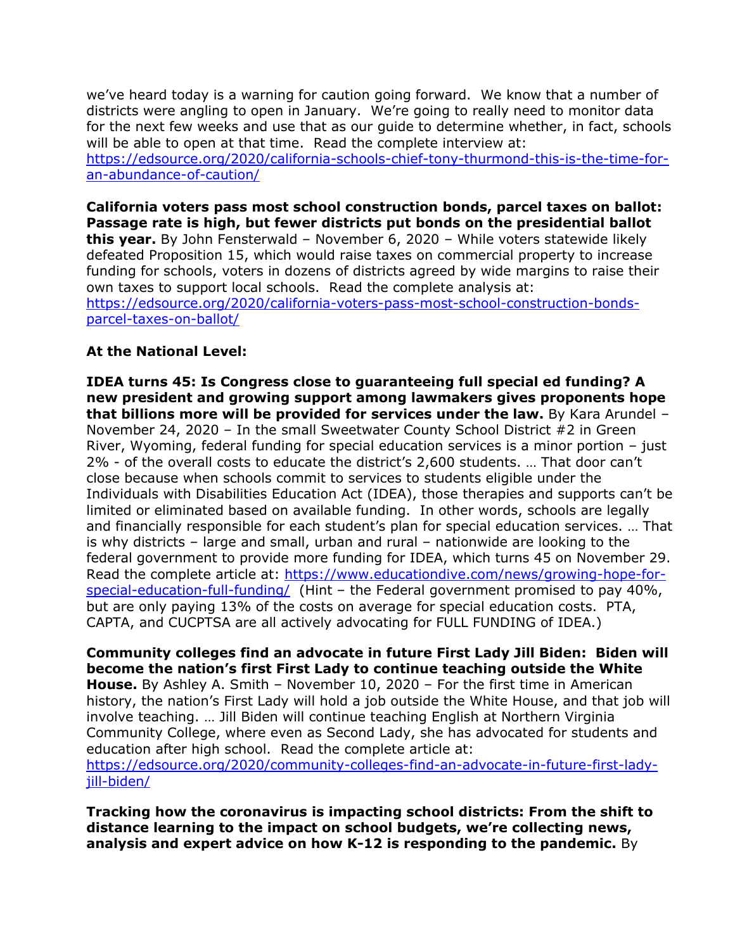we've heard today is a warning for caution going forward. We know that a number of districts were angling to open in January. We're going to really need to monitor data for the next few weeks and use that as our guide to determine whether, in fact, schools will be able to open at that time. Read the complete interview at: [https://edsource.org/2020/california-schools-chief-tony-thurmond-this-is-the-time-for](https://edsource.org/2020/california-schools-chief-tony-thurmond-this-is-the-time-for-an-abundance-of-caution/)[an-abundance-of-caution/](https://edsource.org/2020/california-schools-chief-tony-thurmond-this-is-the-time-for-an-abundance-of-caution/)

**California voters pass most school construction bonds, parcel taxes on ballot: Passage rate is high, but fewer districts put bonds on the presidential ballot this year.** By John Fensterwald – November 6, 2020 – While voters statewide likely defeated Proposition 15, which would raise taxes on commercial property to increase funding for schools, voters in dozens of districts agreed by wide margins to raise their own taxes to support local schools. Read the complete analysis at: [https://edsource.org/2020/california-voters-pass-most-school-construction-bonds](https://edsource.org/2020/california-voters-pass-most-school-construction-bonds-parcel-taxes-on-ballot/)[parcel-taxes-on-ballot/](https://edsource.org/2020/california-voters-pass-most-school-construction-bonds-parcel-taxes-on-ballot/)

#### **At the National Level:**

**IDEA turns 45: Is Congress close to guaranteeing full special ed funding? A new president and growing support among lawmakers gives proponents hope that billions more will be provided for services under the law.** By Kara Arundel – November 24, 2020 – In the small Sweetwater County School District #2 in Green River, Wyoming, federal funding for special education services is a minor portion – just 2% - of the overall costs to educate the district's 2,600 students. … That door can't close because when schools commit to services to students eligible under the Individuals with Disabilities Education Act (IDEA), those therapies and supports can't be limited or eliminated based on available funding. In other words, schools are legally and financially responsible for each student's plan for special education services. … That is why districts – large and small, urban and rural – nationwide are looking to the federal government to provide more funding for IDEA, which turns 45 on November 29. Read the complete article at: [https://www.educationdive.com/news/growing-hope-for](https://www.educationdive.com/news/growing-hope-for-special-education-full-funding/)[special-education-full-funding/](https://www.educationdive.com/news/growing-hope-for-special-education-full-funding/) (Hint - the Federal government promised to pay 40%, but are only paying 13% of the costs on average for special education costs. PTA, CAPTA, and CUCPTSA are all actively advocating for FULL FUNDING of IDEA.)

**Community colleges find an advocate in future First Lady Jill Biden: Biden will become the nation's first First Lady to continue teaching outside the White House.** By Ashley A. Smith – November 10, 2020 – For the first time in American history, the nation's First Lady will hold a job outside the White House, and that job will involve teaching. … Jill Biden will continue teaching English at Northern Virginia Community College, where even as Second Lady, she has advocated for students and education after high school. Read the complete article at: [https://edsource.org/2020/community-colleges-find-an-advocate-in-future-first-lady](https://edsource.org/2020/community-colleges-find-an-advocate-in-future-first-lady-jill-biden/)[jill-biden/](https://edsource.org/2020/community-colleges-find-an-advocate-in-future-first-lady-jill-biden/)

**Tracking how the coronavirus is impacting school districts: From the shift to distance learning to the impact on school budgets, we're collecting news, analysis and expert advice on how K-12 is responding to the pandemic.** By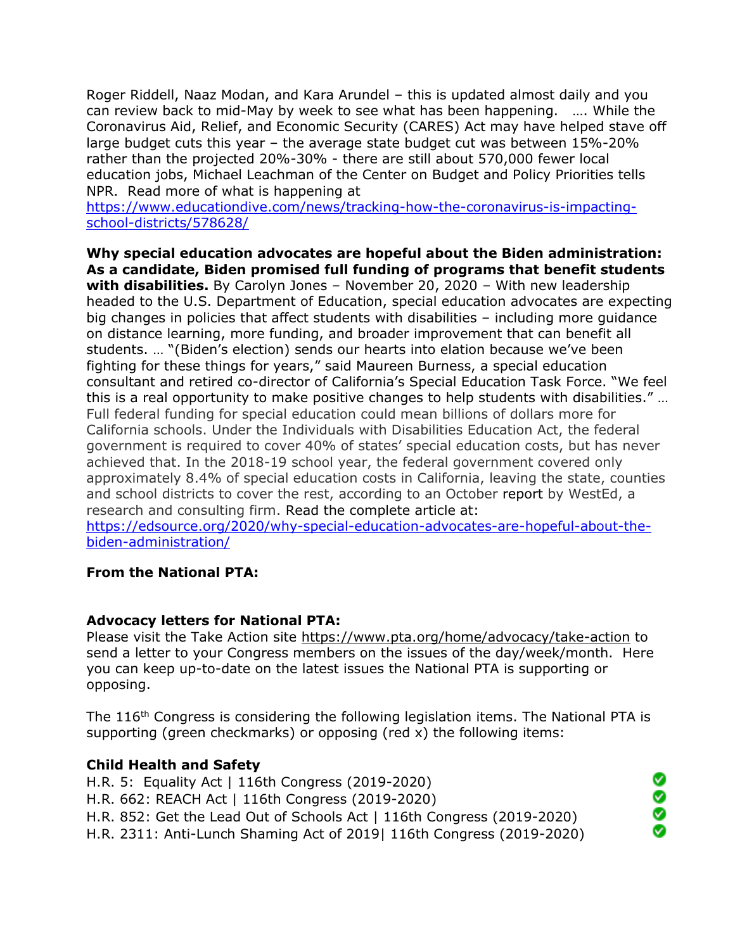Roger Riddell, Naaz Modan, and Kara Arundel – this is updated almost daily and you can review back to mid-May by week to see what has been happening. …. While the Coronavirus Aid, Relief, and Economic Security (CARES) Act may have helped stave off large budget cuts this year – the average state budget cut was between 15%-20% rather than the projected 20%-30% - there are still about 570,000 fewer local education jobs, Michael Leachman of the Center on Budget and Policy Priorities tells NPR. Read more of what is happening at

[https://www.educationdive.com/news/tracking-how-the-coronavirus-is-impacting](https://www.educationdive.com/news/tracking-how-the-coronavirus-is-impacting-school-districts/578628/)[school-districts/578628/](https://www.educationdive.com/news/tracking-how-the-coronavirus-is-impacting-school-districts/578628/)

**Why special education advocates are hopeful about the Biden administration: As a candidate, Biden promised full funding of programs that benefit students with disabilities.** By Carolyn Jones – November 20, 2020 – With new leadership headed to the U.S. Department of Education, special education advocates are expecting big changes in policies that affect students with disabilities – including more guidance on distance learning, more funding, and broader improvement that can benefit all students. … "(Biden's election) sends our hearts into elation because we've been fighting for these things for years," said Maureen Burness, a special education consultant and retired co-director of California's Special Education Task Force. "We feel this is a real opportunity to make positive changes to help students with disabilities." … Full federal funding for special education could mean billions of dollars more for California schools. Under the Individuals with Disabilities Education Act, the federal government is required to cover 40% of states' special education costs, but has never achieved that. In the 2018-19 school year, the federal government covered only approximately 8.4% of special education costs in California, leaving the state, counties and school districts to cover the rest, according to an October report by WestEd, a research and consulting firm. Read the complete article at:

[https://edsource.org/2020/why-special-education-advocates-are-hopeful-about-the](https://edsource.org/2020/why-special-education-advocates-are-hopeful-about-the-biden-administration/)[biden-administration/](https://edsource.org/2020/why-special-education-advocates-are-hopeful-about-the-biden-administration/)

#### **From the National PTA:**

#### **Advocacy letters for National PTA:**

Please visit the Take Action site<https://www.pta.org/home/advocacy/take-action> to send a letter to your Congress members on the issues of the day/week/month. Here you can keep up-to-date on the latest issues the National PTA is supporting or opposing.

The 116<sup>th</sup> Congress is considering the following legislation items. The National PTA is supporting (green checkmarks) or opposing (red x) the following items:

> ⊗ ě

> Ø

#### **Child Health and Safety**

H.R. 5: Equality Act | 116th Congress (2019-2020) H.R. 662: REACH Act | 116th Congress (2019-2020) H.R. 852: Get the Lead Out of Schools Act | 116th Congress (2019-2020) H.R. 2311: Anti-Lunch Shaming Act of 2019| 116th Congress (2019-2020)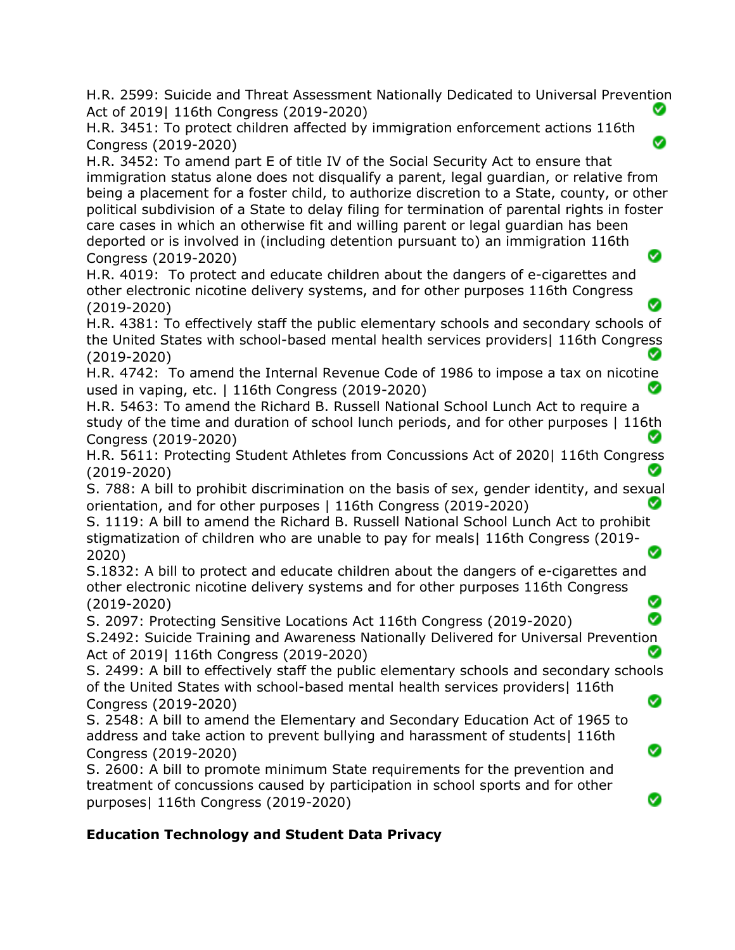H.R. 2599: Suicide and Threat Assessment Nationally Dedicated to Universal Prevention Act of 2019| 116th Congress (2019-2020) Ø

 $\bullet$ 

Ø

Ø

Ø

H.R. 3451: To protect children affected by immigration enforcement actions 116th Congress (2019-2020)

H.R. 3452: To amend part E of title IV of the Social Security Act to ensure that immigration status alone does not disqualify a parent, legal guardian, or relative from being a placement for a foster child, to authorize discretion to a State, county, or other political subdivision of a State to delay filing for termination of parental rights in foster care cases in which an otherwise fit and willing parent or legal guardian has been deported or is involved in (including detention pursuant to) an immigration 116th Ø Congress (2019-2020)

H.R. 4019: To protect and educate children about the dangers of e-cigarettes and other electronic nicotine delivery systems, and for other purposes 116th Congress (2019-2020)

H.R. 4381: To effectively staff the public elementary schools and secondary schools of the United States with school-based mental health services providers| 116th Congress (2019-2020) ◙

H.R. 4742: To amend the Internal Revenue Code of 1986 to impose a tax on nicotine used in vaping, etc. | 116th Congress (2019-2020) Ø

H.R. 5463: To amend the Richard B. Russell National School Lunch Act to require a study of the time and duration of school lunch periods, and for other purposes | 116th Congress (2019-2020)

H.R. 5611: Protecting Student Athletes from Concussions Act of 2020| 116th Congress (2019-2020)

S. 788: A bill to prohibit discrimination on the basis of sex, gender identity, and sexual orientation, and for other purposes | 116th Congress (2019-2020)

S. 1119: A bill to amend the Richard B. Russell National School Lunch Act to prohibit stigmatization of children who are unable to pay for meals| 116th Congress (2019- 2020)

S.1832: A bill to protect and educate children about the dangers of e-cigarettes and other electronic nicotine delivery systems and for other purposes 116th Congress Ø (2019-2020)

S. 2097: Protecting Sensitive Locations Act 116th Congress (2019-2020)

S.2492: Suicide Training and Awareness Nationally Delivered for Universal Prevention Act of 2019| 116th Congress (2019-2020)

S. 2499: A bill to effectively staff the public elementary schools and secondary schools of the United States with school-based mental health services providers| 116th Ø Congress (2019-2020)

S. 2548: A bill to amend the Elementary and Secondary Education Act of 1965 to address and take action to prevent bullying and harassment of students| 116th Congress (2019-2020)

S. 2600: A bill to promote minimum State requirements for the prevention and treatment of concussions caused by participation in school sports and for other purposes| 116th Congress (2019-2020)

# **Education Technology and Student Data Privacy**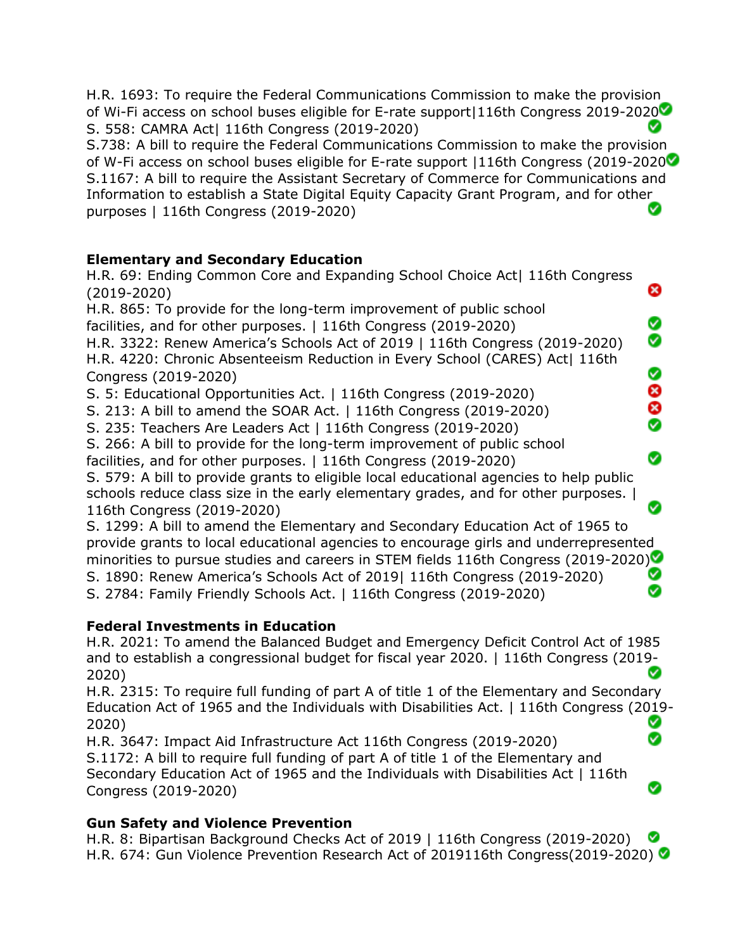H.R. 1693: To require the Federal Communications Commission to make the provision of Wi-Fi access on school buses eligible for E-rate support|116th Congress 2019-2020 Ø S. 558: CAMRA Act| 116th Congress (2019-2020)

S.738: A bill to require the Federal Communications Commission to make the provision of W-Fi access on school buses eligible for E-rate support |116th Congress (2019-2020 S.1167: A bill to require the Assistant Secretary of Commerce for Communications and Information to establish a State Digital Equity Capacity Grant Program, and for other purposes | 116th Congress (2019-2020) Ø

## **Elementary and Secondary Education**

H.R. 69: Ending Common Core and Expanding School Choice Act| 116th Congress ఴ (2019-2020) H.R. 865: To provide for the long-term improvement of public school Ø facilities, and for other purposes. | 116th Congress (2019-2020) Ø H.R. 3322: Renew America's Schools Act of 2019 | 116th Congress (2019-2020) H.R. 4220: Chronic Absenteeism Reduction in Every School (CARES) Act| 116th Ø Congress (2019-2020) 8<br>8 S. 5: Educational Opportunities Act. | 116th Congress (2019-2020) S. 213: A bill to amend the SOAR Act. | 116th Congress (2019-2020) S. 235: Teachers Are Leaders Act | 116th Congress (2019-2020) S. 266: A bill to provide for the long-term improvement of public school Ø facilities, and for other purposes. | 116th Congress (2019-2020) S. 579: A bill to provide grants to eligible local educational agencies to help public schools reduce class size in the early elementary grades, and for other purposes. | Ø 116th Congress (2019-2020) S. 1299: A bill to amend the Elementary and Secondary Education Act of 1965 to provide grants to local educational agencies to encourage girls and underrepresented minorities to pursue studies and careers in STEM fields 116th Congress (2019-2020) Ø S. 1890: Renew America's Schools Act of 2019| 116th Congress (2019-2020) Ø S. 2784: Family Friendly Schools Act. | 116th Congress (2019-2020)

# **Federal Investments in Education**

H.R. 2021: To amend the Balanced Budget and Emergency Deficit Control Act of 1985 and to establish a congressional budget for fiscal year 2020. | 116th Congress (2019- 2020)

H.R. 2315: To require full funding of part A of title 1 of the Elementary and Secondary Education Act of 1965 and the Individuals with Disabilities Act. | 116th Congress (2019- Ø 2020) Ø

H.R. 3647: Impact Aid Infrastructure Act 116th Congress (2019-2020) S.1172: A bill to require full funding of part A of title 1 of the Elementary and Secondary Education Act of 1965 and the Individuals with Disabilities Act | 116th Congress (2019-2020)

# **Gun Safety and Violence Prevention**

H.R. 8: Bipartisan Background Checks Act of 2019 | 116th Congress (2019-2020) H.R. 674: Gun Violence Prevention Research Act of 2019116th Congress(2019-2020)

Ø